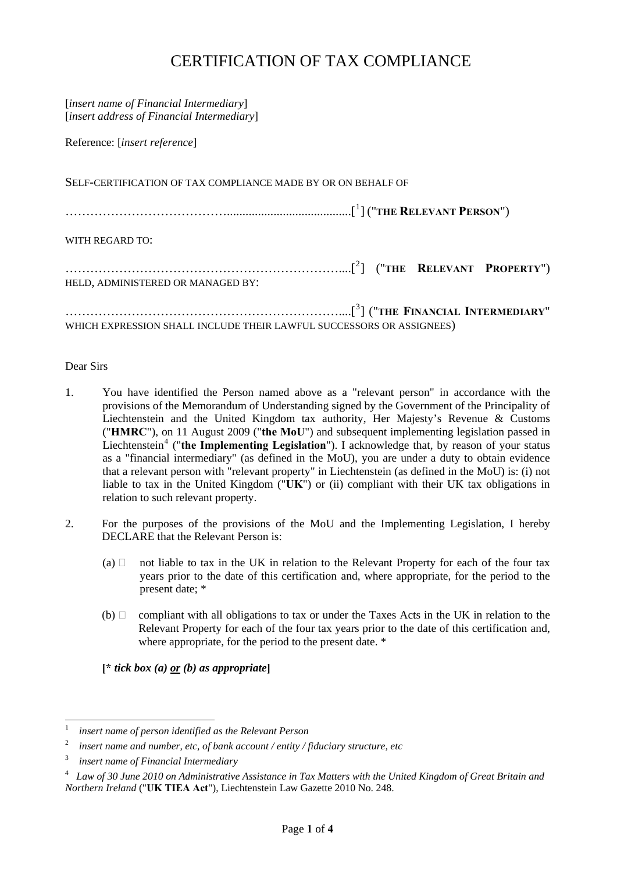# CERTIFICATION OF TAX COMPLIANCE

| [insert name of Financial Intermediary]<br>[insert address of Financial Intermediary] |
|---------------------------------------------------------------------------------------|
| Reference: [insert reference]                                                         |
| SELF-CERTIFICATION OF TAX COMPLIANCE MADE BY OR ON BEHALF OF                          |
|                                                                                       |
| WITH REGARD TO:                                                                       |
| HELD, ADMINISTERED OR MANAGED BY:                                                     |
| WHICH EXPRESSION SHALL INCLUDE THEIR LAWFUL SUCCESSORS OR ASSIGNEES)                  |

#### Dear Sirs

-

- relation to such relevant property. 1. You have identified the Person named above as a "relevant person" in accordance with the provisions of the Memorandum of Understanding signed by the Government of the Principality of Liechtenstein and the United Kingdom tax authority, Her Majesty's Revenue & Customs ("**HMRC**"), on 11 August 2009 ("**the MoU**") and subsequent implementing legislation passed in Liechtenstein<sup>[4](#page-0-3)</sup> ("the Implementing Legislation"). I acknowledge that, by reason of your status as a "financial intermediary" (as defined in the MoU), you are under a duty to obtain evidence that a relevant person with "relevant property" in Liechtenstein (as defined in the MoU) is: (i) not liable to tax in the United Kingdom ("**UK**") or (ii) compliant with their UK tax obligations in
- 2. For the purposes of the provisions of the MoU and the Implementing Legislation, I hereby DECLARE that the Relevant Person is:
	- (a)  $\Box$  not liable to tax in the UK in relation to the Relevant Property for each of the four tax years prior to the date of this certification and, where appropriate, for the period to the present date; \*
	- (b)  $\Box$  compliant with all obligations to tax or under the Taxes Acts in the UK in relation to the Relevant Property for each of the four tax years prior to the date of this certification and, where appropriate, for the period to the present date.  $*$

**[\*** *tick box (a) or (b) as appropriate***]** 

<span id="page-0-0"></span><sup>1</sup> *insert name of person identified as the Relevant Person*

<span id="page-0-1"></span><sup>2</sup> *insert name and number, etc, of bank account / entity / fiduciary structure, etc*

<span id="page-0-2"></span><sup>3</sup> *insert name of Financial Intermediary*

<span id="page-0-3"></span><sup>4</sup> *Law of 30 June 2010 on Administrative Assistance in Tax Matters with the United Kingdom of Great Britain and Northern Ireland* ("**UK TIEA Act**"), Liechtenstein Law Gazette 2010 No. 248.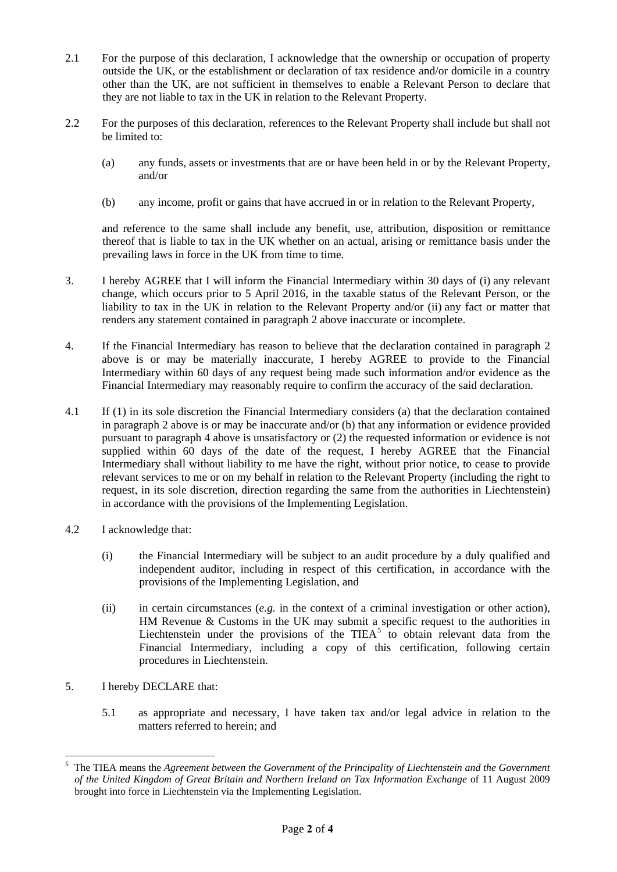- 2.1 For the purpose of this declaration, I acknowledge that the ownership or occupation of property outside the UK, or the establishment or declaration of tax residence and/or domicile in a country other than the UK, are not sufficient in themselves to enable a Relevant Person to declare that they are not liable to tax in the UK in relation to the Relevant Property.
- 2.2 For the purposes of this declaration, references to the Relevant Property shall include but shall not be limited to:
	- (a) any funds, assets or investments that are or have been held in or by the Relevant Property, and/or
	- (b) any income, profit or gains that have accrued in or in relation to the Relevant Property,

and reference to the same shall include any benefit, use, attribution, disposition or remittance thereof that is liable to tax in the UK whether on an actual, arising or remittance basis under the prevailing laws in force in the UK from time to time.

- 3. I hereby AGREE that I will inform the Financial Intermediary within 30 days of (i) any relevant change, which occurs prior to 5 April 2016, in the taxable status of the Relevant Person, or the liability to tax in the UK in relation to the Relevant Property and/or (ii) any fact or matter that renders any statement contained in paragraph 2 above inaccurate or incomplete.
- 4. If the Financial Intermediary has reason to believe that the declaration contained in paragraph 2 above is or may be materially inaccurate, I hereby AGREE to provide to the Financial Intermediary within 60 days of any request being made such information and/or evidence as the Financial Intermediary may reasonably require to confirm the accuracy of the said declaration.
- 4.1 If (1) in its sole discretion the Financial Intermediary considers (a) that the declaration contained in paragraph 2 above is or may be inaccurate and/or (b) that any information or evidence provided pursuant to paragraph 4 above is unsatisfactory or (2) the requested information or evidence is not supplied within 60 days of the date of the request, I hereby AGREE that the Financial Intermediary shall without liability to me have the right, without prior notice, to cease to provide relevant services to me or on my behalf in relation to the Relevant Property (including the right to request, in its sole discretion, direction regarding the same from the authorities in Liechtenstein) in accordance with the provisions of the Implementing Legislation.
- 4.2 I acknowledge that:
	- (i) the Financial Intermediary will be subject to an audit procedure by a duly qualified and independent auditor, including in respect of this certification, in accordance with the provisions of the Implementing Legislation, and
	- procedures in Liechtenstein. (ii) in certain circumstances (*e.g.* in the context of a criminal investigation or other action), HM Revenue & Customs in the UK may submit a specific request to the authorities in Liechtenstein under the provisions of the TIEA<sup>[5](#page-1-0)</sup> to obtain relevant data from the Financial Intermediary, including a copy of this certification, following certain
- 5. I hereby DECLARE that:

-

5.1 as appropriate and necessary, I have taken tax and/or legal advice in relation to the matters referred to herein; and

<span id="page-1-0"></span><sup>5</sup> The TIEA means the *Agreement between the Government of the Principality of Liechtenstein and the Government of the United Kingdom of Great Britain and Northern Ireland on Tax Information Exchange* of 11 August 2009 brought into force in Liechtenstein via the Implementing Legislation.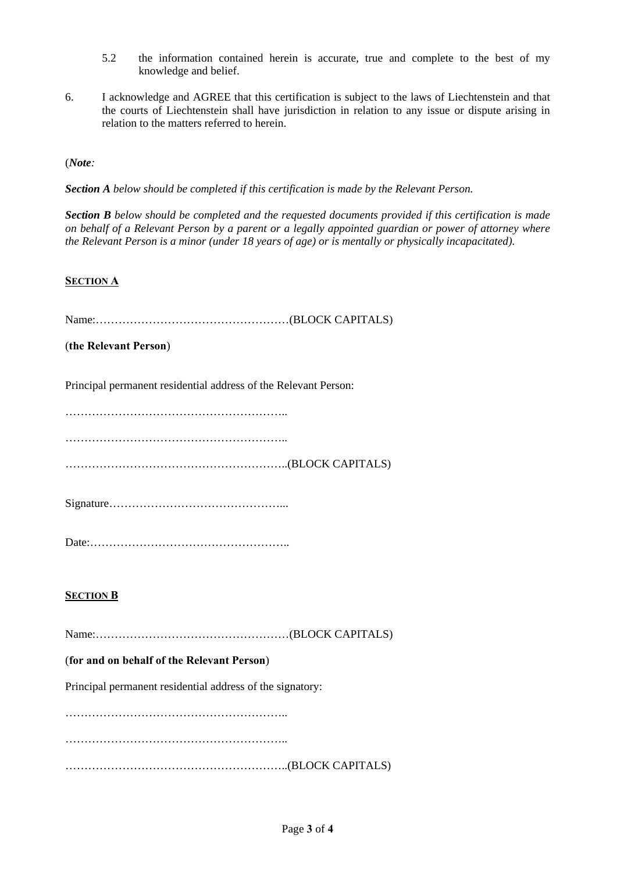- 5.2 the information contained herein is accurate, true and complete to the best of my knowledge and belief.
- 6. I acknowledge and AGREE that this certification is subject to the laws of Liechtenstein and that the courts of Liechtenstein shall have jurisdiction in relation to any issue or dispute arising in relation to the matters referred to herein.

(*Note:* 

*Section A below should be completed if this certification is made by the Relevant Person.* 

*Section B below should be completed and the requested documents provided if this certification is made on behalf of a Relevant Person by a parent or a legally appointed guardian or power of attorney where the Relevant Person is a minor (under 18 years of age) or is mentally or physically incapacitated).* 

## **SECTION A**

Name:……………………………………………(BLOCK CAPITALS)

(**the Relevant Person**)

Principal permanent residential address of the Relevant Person:

…………………………………………………………………

…………………………………………………..

…………………………………………………..(BLOCK CAPITALS)

|--|

Date:……………………………………………..

## **SECTION B**

Name:……………………………………………(BLOCK CAPITALS)

## (**for and on behalf of the Relevant Person**)

Principal permanent residential address of the signatory:

………………………………………………….. …………………………………………………………………………… …………………………………………………..(BLOCK CAPITALS)